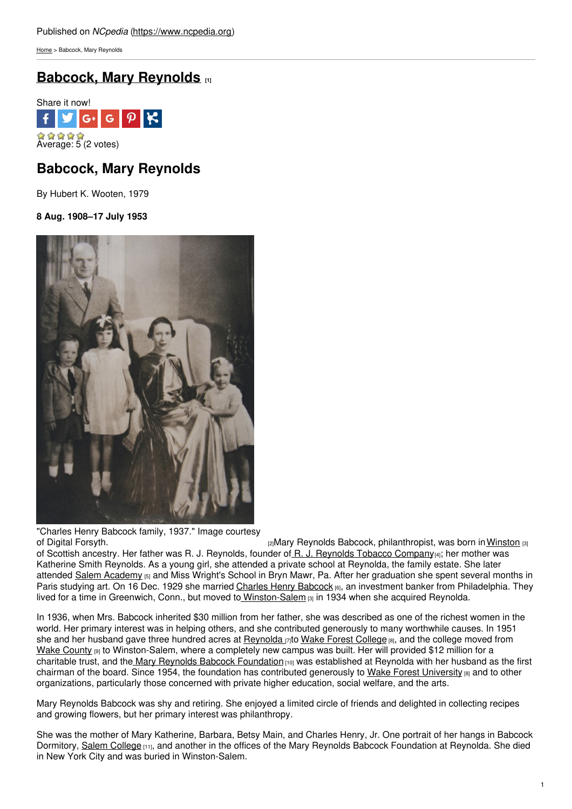[Home](https://www.ncpedia.org/) > Babcock, Mary Reynolds

# **Babcock, Mary [Reynolds](https://www.ncpedia.org/biography/babcock-mary) [1]**



# **Babcock, Mary Reynolds**

By Hubert K. Wooten, 1979

**8 Aug. 1908–17 July 1953**



"Charles Henry Babcock family, 1937." Image courtesy

of Digital [Forsyth.](http://www.digitalforsyth.org/photos/11688) **[2]Mary Reynolds Babcock, philanthropist, was born in [Winston](https://ncpedia.org/geography/winston-salem) [3]** [3] of Scottish ancestry. Her father was R. J. Reynolds, founder of R. J. [Reynolds](http://www.rjrt.com/) Tobacco Company[4]; her mother was Katherine Smith Reynolds. As a young girl, she attended a private school at Reynolda, the family estate. She later attended Salem [Academy](http://www.salemacademy.com) [5] and Miss Wright's School in Bryn Mawr, Pa. After her graduation she spent several months in Paris studying art. On 16 Dec. 1929 she married Charles Henry [Babcock](https://www.ncpedia.org/biography/babcock-charles-henry) [6], an investment banker from Philadelphia. They lived for a time in Greenwich, Conn., but moved to [Winston-Salem](https://ncpedia.org/geography/winston-salem) [3] in 1934 when she acquired Reynolda.

In 1936, when Mrs. Babcock inherited \$30 million from her father, she was described as one of the richest women in the world. Her primary interest was in helping others, and she contributed generously to many worthwhile causes. In 1951 she and her husband gave three hundred acres at [Reynolda](http://www.reynoldahouse.org/)  $_{17}$ to Wake Forest [College](https://www.ncpedia.org/wake-forest-university) [8], and the college moved from Wake [County](https://www.ncpedia.org/geography/wake) [9] to Winston-Salem, where a completely new campus was built. Her will provided \$12 million for a charitable trust, and the Mary Reynolds Babcock [Foundation](http://www.mrbf.org/) [10] was established at Reynolda with her husband as the first chairman of the board. Since 1954, the foundation has contributed generously to Wake Forest [University](https://www.ncpedia.org/wake-forest-university) [8] and to other organizations, particularly those concerned with private higher education, social welfare, and the arts.

Mary Reynolds Babcock was shy and retiring. She enjoyed a limited circle of friends and delighted in collecting recipes and growing flowers, but her primary interest was philanthropy.

She was the mother of Mary Katherine, Barbara, Betsy Main, and Charles Henry, Jr. One portrait of her hangs in Babcock Dormitory, Salem [College](http://www.salem.edu/) [11], and another in the offices of the Mary Reynolds Babcock Foundation at Reynolda. She died in New York City and was buried in Winston-Salem.